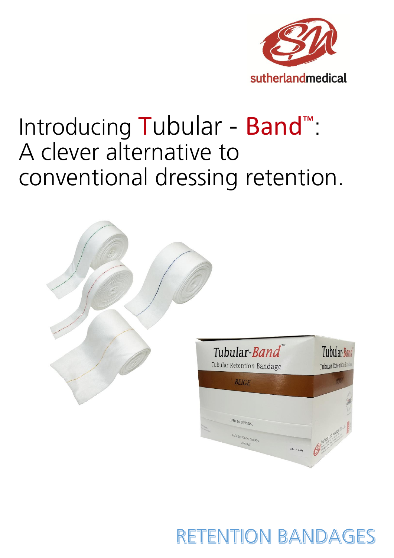

# Introducing Tubular - Band<sup>™</sup>: A clever alternative to conventional dressing retention.



## **RETENTION BANDAGES**